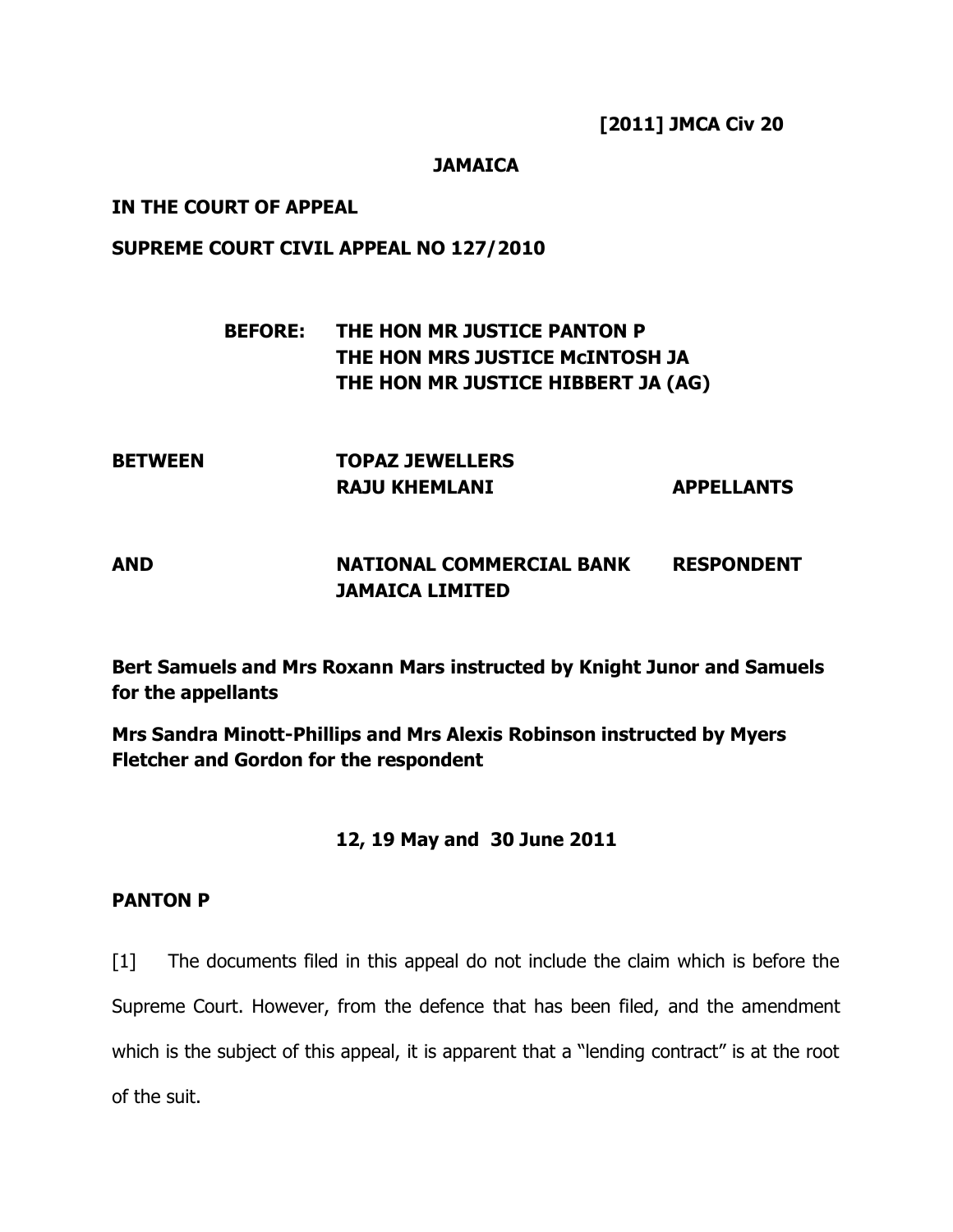**[2011] JMCA Civ 20**

### **JAMAICA**

### **IN THE COURT OF APPEAL**

### **SUPREME COURT CIVIL APPEAL NO 127/2010**

# **BEFORE: THE HON MR JUSTICE PANTON P THE HON MRS JUSTICE McINTOSH JA THE HON MR JUSTICE HIBBERT JA (AG)**

| <b>BETWEEN</b> | <b>TOPAZ JEWELLERS</b> |                   |
|----------------|------------------------|-------------------|
|                | <b>RAJU KHEMLANI</b>   | <b>APPELLANTS</b> |

# **AND NATIONAL COMMERCIAL BANK RESPONDENT JAMAICA LIMITED**

**Bert Samuels and Mrs Roxann Mars instructed by Knight Junor and Samuels for the appellants**

**Mrs Sandra Minott-Phillips and Mrs Alexis Robinson instructed by Myers Fletcher and Gordon for the respondent**

### **12, 19 May and 30 June 2011**

### **PANTON P**

[1] The documents filed in this appeal do not include the claim which is before the Supreme Court. However, from the defence that has been filed, and the amendment which is the subject of this appeal, it is apparent that a "lending contract" is at the root of the suit.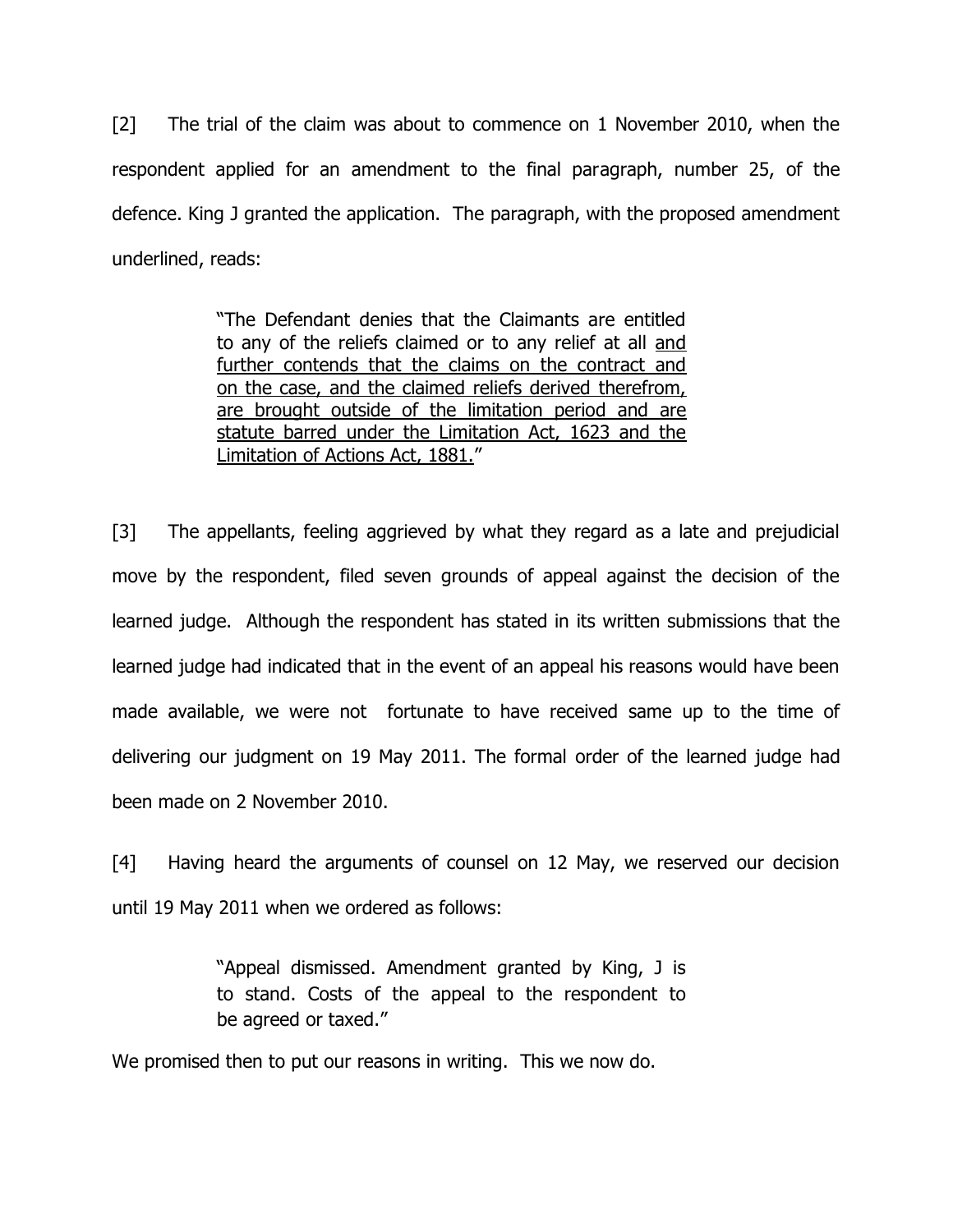[2] The trial of the claim was about to commence on 1 November 2010, when the respondent applied for an amendment to the final paragraph, number 25, of the defence. King J granted the application. The paragraph, with the proposed amendment underlined, reads:

> "The Defendant denies that the Claimants are entitled to any of the reliefs claimed or to any relief at all and further contends that the claims on the contract and on the case, and the claimed reliefs derived therefrom, are brought outside of the limitation period and are statute barred under the Limitation Act, 1623 and the Limitation of Actions Act, 1881."

[3] The appellants, feeling aggrieved by what they regard as a late and prejudicial move by the respondent, filed seven grounds of appeal against the decision of the learned judge. Although the respondent has stated in its written submissions that the learned judge had indicated that in the event of an appeal his reasons would have been made available, we were not fortunate to have received same up to the time of delivering our judgment on 19 May 2011. The formal order of the learned judge had been made on 2 November 2010.

[4] Having heard the arguments of counsel on 12 May, we reserved our decision until 19 May 2011 when we ordered as follows:

> "Appeal dismissed. Amendment granted by King, J is to stand. Costs of the appeal to the respondent to be agreed or taxed."

We promised then to put our reasons in writing. This we now do.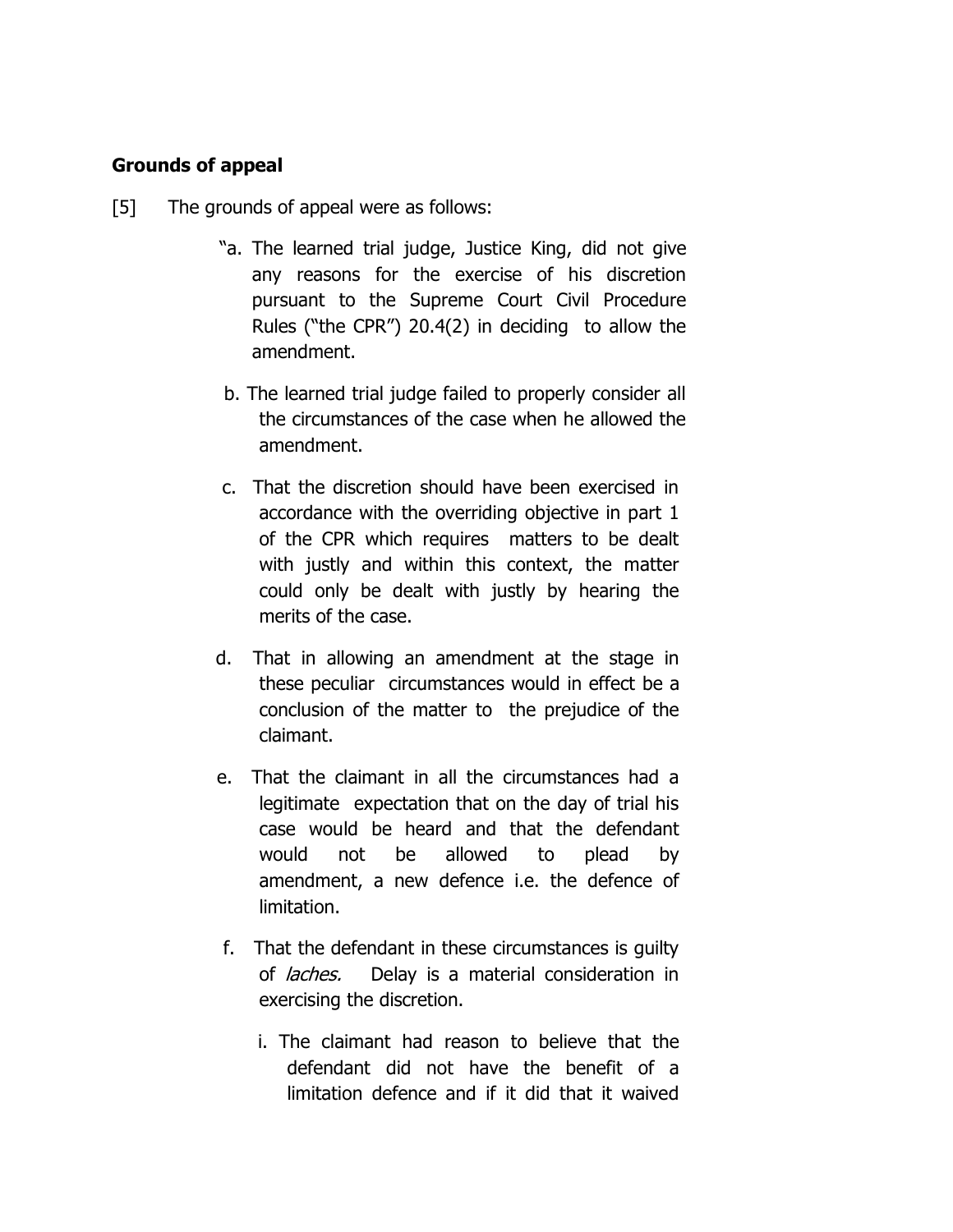## **Grounds of appeal**

- [5] The grounds of appeal were as follows:
	- "a. The learned trial judge, Justice King, did not give any reasons for the exercise of his discretion pursuant to the Supreme Court Civil Procedure Rules ("the CPR") 20.4(2) in deciding to allow the amendment.
	- b. The learned trial judge failed to properly consider all the circumstances of the case when he allowed the amendment.
	- c. That the discretion should have been exercised in accordance with the overriding objective in part 1 of the CPR which requires matters to be dealt with justly and within this context, the matter could only be dealt with justly by hearing the merits of the case.
	- d. That in allowing an amendment at the stage in these peculiar circumstances would in effect be a conclusion of the matter to the prejudice of the claimant.
	- e. That the claimant in all the circumstances had a legitimate expectation that on the day of trial his case would be heard and that the defendant would not be allowed to plead by amendment, a new defence i.e. the defence of limitation.
	- f. That the defendant in these circumstances is guilty of *laches*. Delay is a material consideration in exercising the discretion.
		- i. The claimant had reason to believe that the defendant did not have the benefit of a limitation defence and if it did that it waived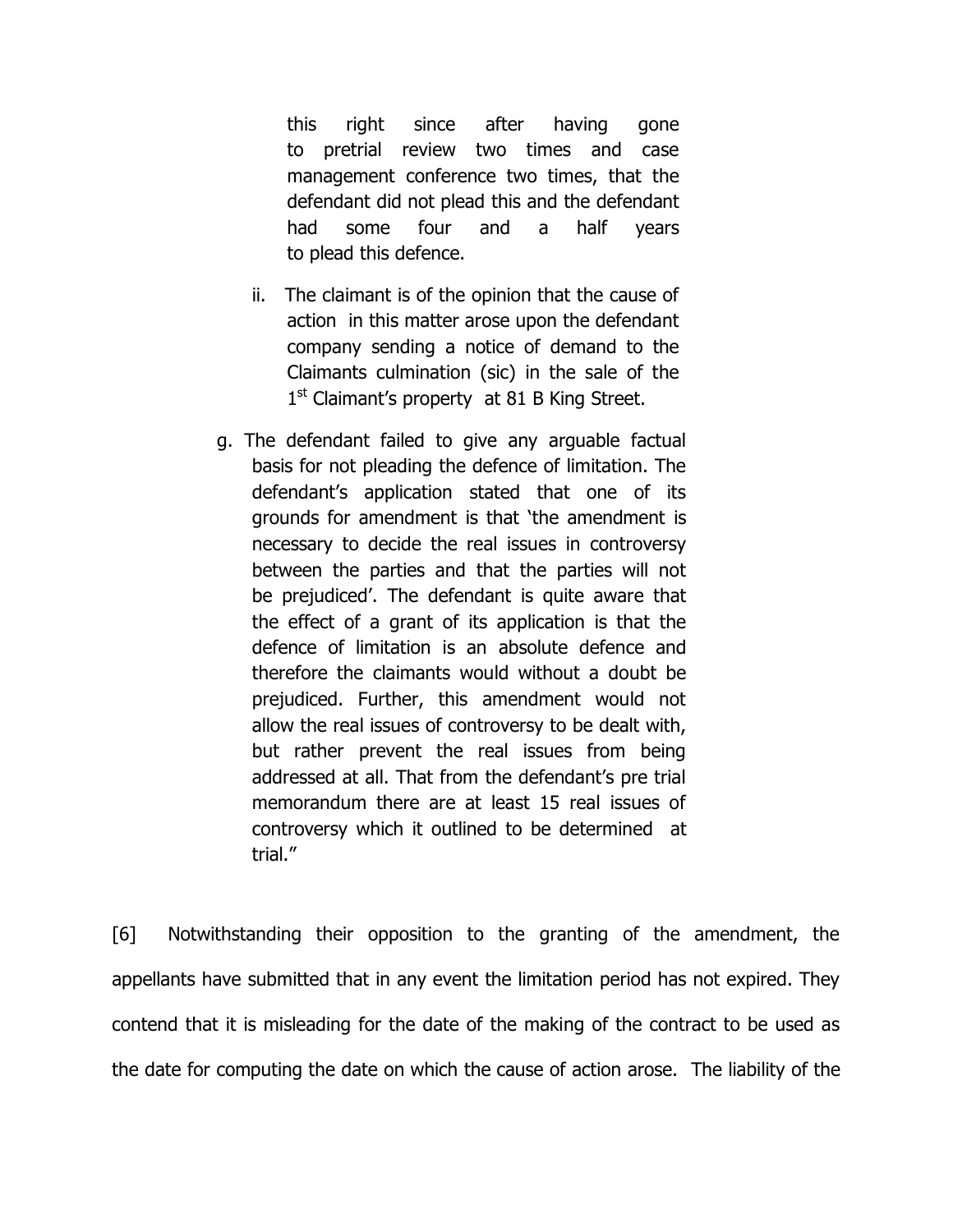this right since after having gone to pretrial review two times and case management conference two times, that the defendant did not plead this and the defendant had some four and a half years to plead this defence.

- ii. The claimant is of the opinion that the cause of action in this matter arose upon the defendant company sending a notice of demand to the Claimants culmination (sic) in the sale of the 1<sup>st</sup> Claimant's property at 81 B King Street.
- g. The defendant failed to give any arguable factual basis for not pleading the defence of limitation. The defendant"s application stated that one of its grounds for amendment is that "the amendment is necessary to decide the real issues in controversy between the parties and that the parties will not be prejudiced'. The defendant is quite aware that the effect of a grant of its application is that the defence of limitation is an absolute defence and therefore the claimants would without a doubt be prejudiced. Further, this amendment would not allow the real issues of controversy to be dealt with, but rather prevent the real issues from being addressed at all. That from the defendant"s pre trial memorandum there are at least 15 real issues of controversy which it outlined to be determined at trial."

[6] Notwithstanding their opposition to the granting of the amendment, the appellants have submitted that in any event the limitation period has not expired. They contend that it is misleading for the date of the making of the contract to be used as the date for computing the date on which the cause of action arose. The liability of the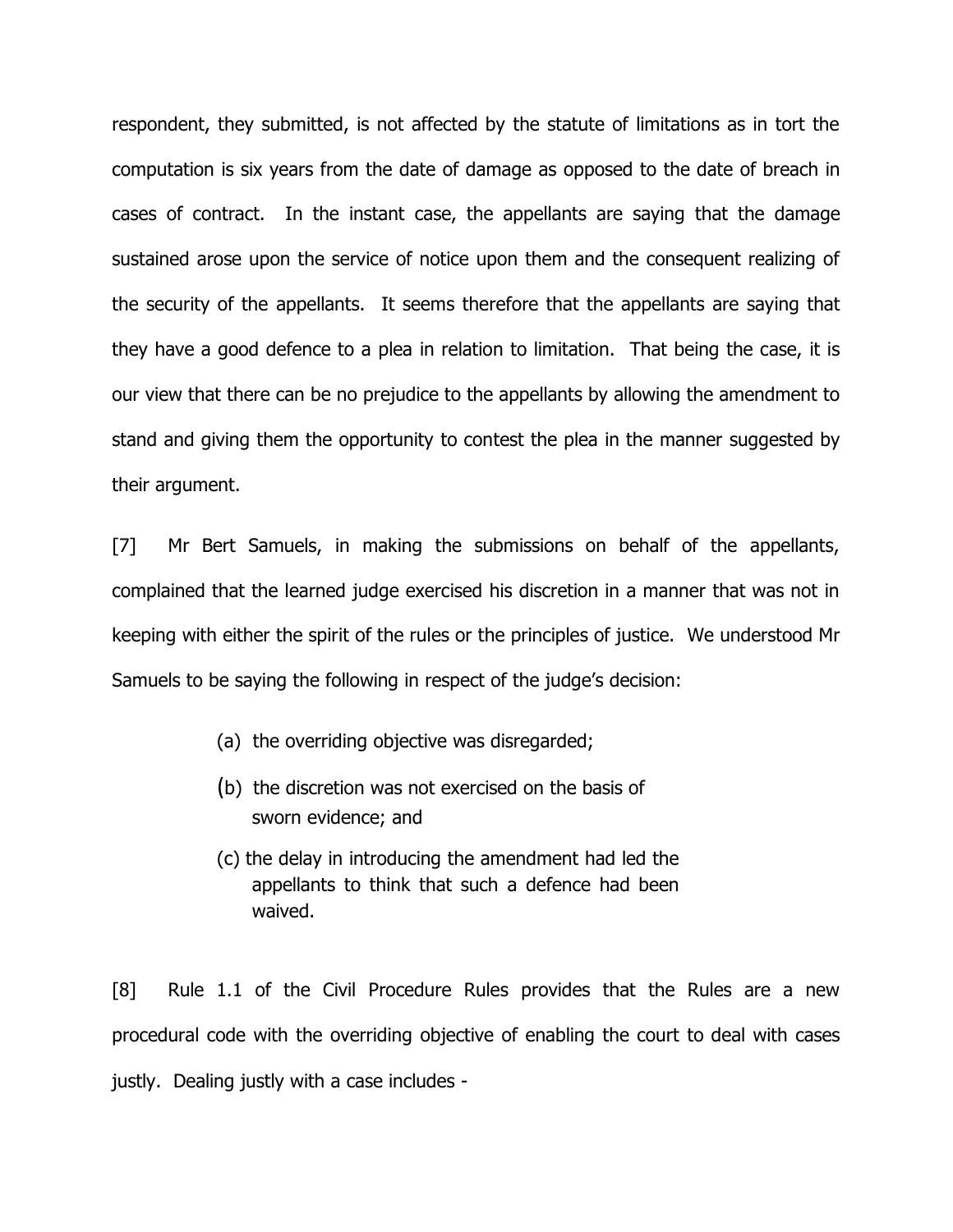respondent, they submitted, is not affected by the statute of limitations as in tort the computation is six years from the date of damage as opposed to the date of breach in cases of contract. In the instant case, the appellants are saying that the damage sustained arose upon the service of notice upon them and the consequent realizing of the security of the appellants. It seems therefore that the appellants are saying that they have a good defence to a plea in relation to limitation. That being the case, it is our view that there can be no prejudice to the appellants by allowing the amendment to stand and giving them the opportunity to contest the plea in the manner suggested by their argument.

[7] Mr Bert Samuels, in making the submissions on behalf of the appellants, complained that the learned judge exercised his discretion in a manner that was not in keeping with either the spirit of the rules or the principles of justice. We understood Mr Samuels to be saying the following in respect of the judge"s decision:

- (a) the overriding objective was disregarded;
- (b) the discretion was not exercised on the basis of sworn evidence; and
- (c) the delay in introducing the amendment had led the appellants to think that such a defence had been waived.

[8] Rule 1.1 of the Civil Procedure Rules provides that the Rules are a new procedural code with the overriding objective of enabling the court to deal with cases justly. Dealing justly with a case includes -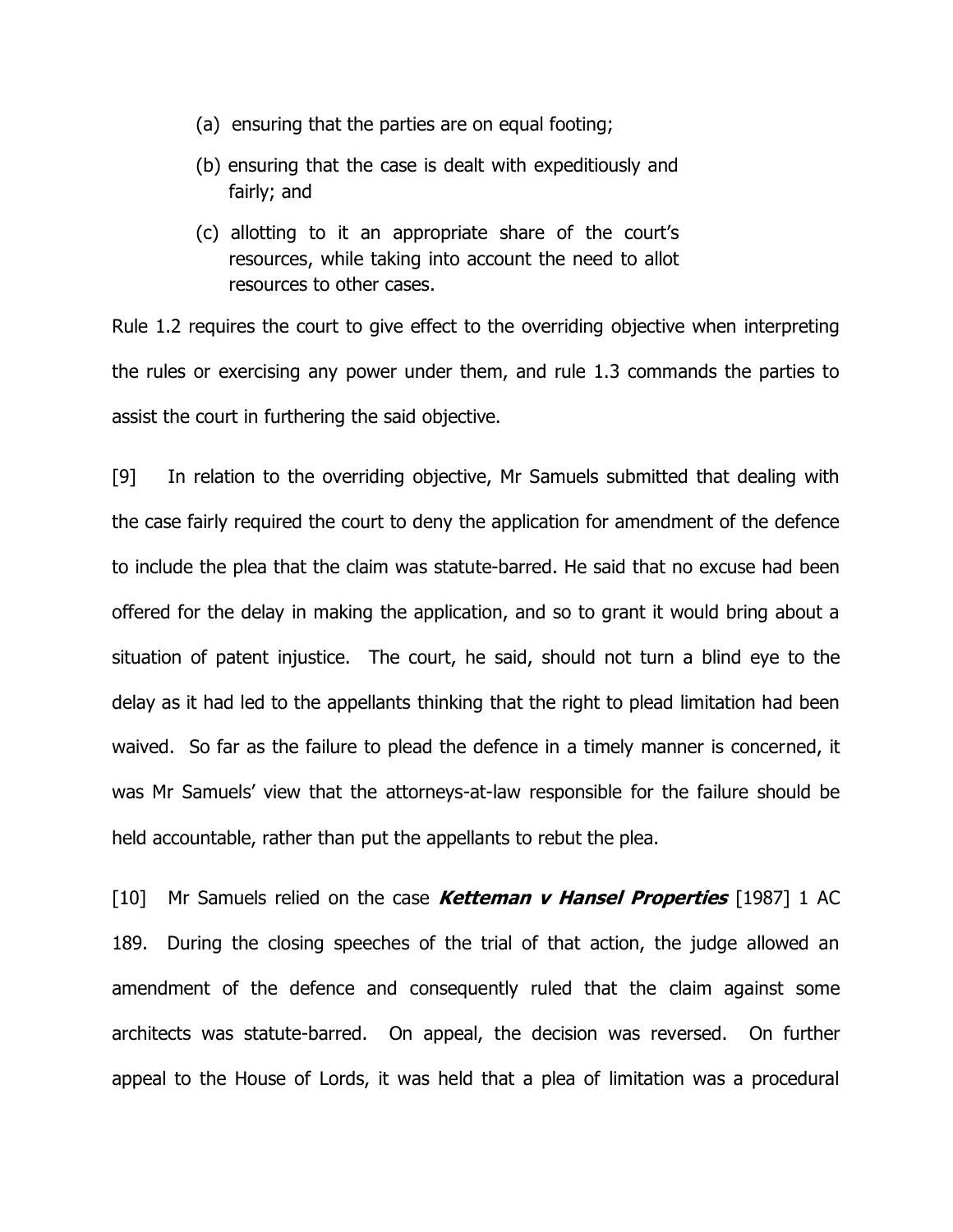- (a) ensuring that the parties are on equal footing;
- (b) ensuring that the case is dealt with expeditiously and fairly; and
- (c) allotting to it an appropriate share of the court"s resources, while taking into account the need to allot resources to other cases.

Rule 1.2 requires the court to give effect to the overriding objective when interpreting the rules or exercising any power under them, and rule 1.3 commands the parties to assist the court in furthering the said objective.

[9] In relation to the overriding objective, Mr Samuels submitted that dealing with the case fairly required the court to deny the application for amendment of the defence to include the plea that the claim was statute-barred. He said that no excuse had been offered for the delay in making the application, and so to grant it would bring about a situation of patent injustice. The court, he said, should not turn a blind eye to the delay as it had led to the appellants thinking that the right to plead limitation had been waived. So far as the failure to plead the defence in a timely manner is concerned, it was Mr Samuels' view that the attorneys-at-law responsible for the failure should be held accountable, rather than put the appellants to rebut the plea.

[10] Mr Samuels relied on the case **Ketteman v Hansel Properties** [1987] 1 AC 189. During the closing speeches of the trial of that action, the judge allowed an amendment of the defence and consequently ruled that the claim against some architects was statute-barred. On appeal, the decision was reversed. On further appeal to the House of Lords, it was held that a plea of limitation was a procedural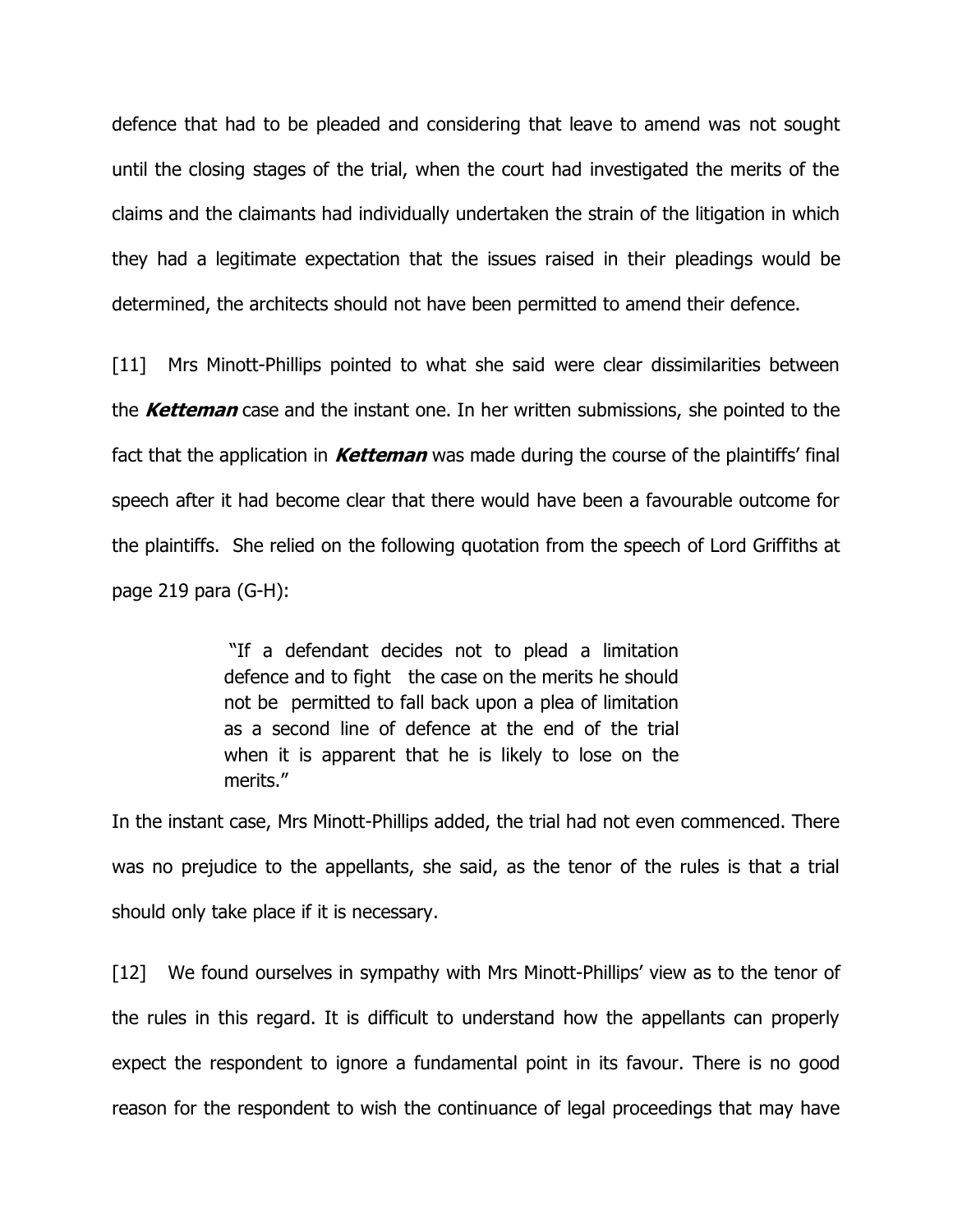defence that had to be pleaded and considering that leave to amend was not sought until the closing stages of the trial, when the court had investigated the merits of the claims and the claimants had individually undertaken the strain of the litigation in which they had a legitimate expectation that the issues raised in their pleadings would be determined, the architects should not have been permitted to amend their defence.

[11] Mrs Minott-Phillips pointed to what she said were clear dissimilarities between the **Ketteman** case and the instant one. In her written submissions, she pointed to the fact that the application in **Ketteman** was made during the course of the plaintiffs' final speech after it had become clear that there would have been a favourable outcome for the plaintiffs. She relied on the following quotation from the speech of Lord Griffiths at page 219 para (G-H):

> "If a defendant decides not to plead a limitation defence and to fight the case on the merits he should not be permitted to fall back upon a plea of limitation as a second line of defence at the end of the trial when it is apparent that he is likely to lose on the merits."

In the instant case, Mrs Minott-Phillips added, the trial had not even commenced. There was no prejudice to the appellants, she said, as the tenor of the rules is that a trial should only take place if it is necessary.

[12] We found ourselves in sympathy with Mrs Minott-Phillips' view as to the tenor of the rules in this regard. It is difficult to understand how the appellants can properly expect the respondent to ignore a fundamental point in its favour. There is no good reason for the respondent to wish the continuance of legal proceedings that may have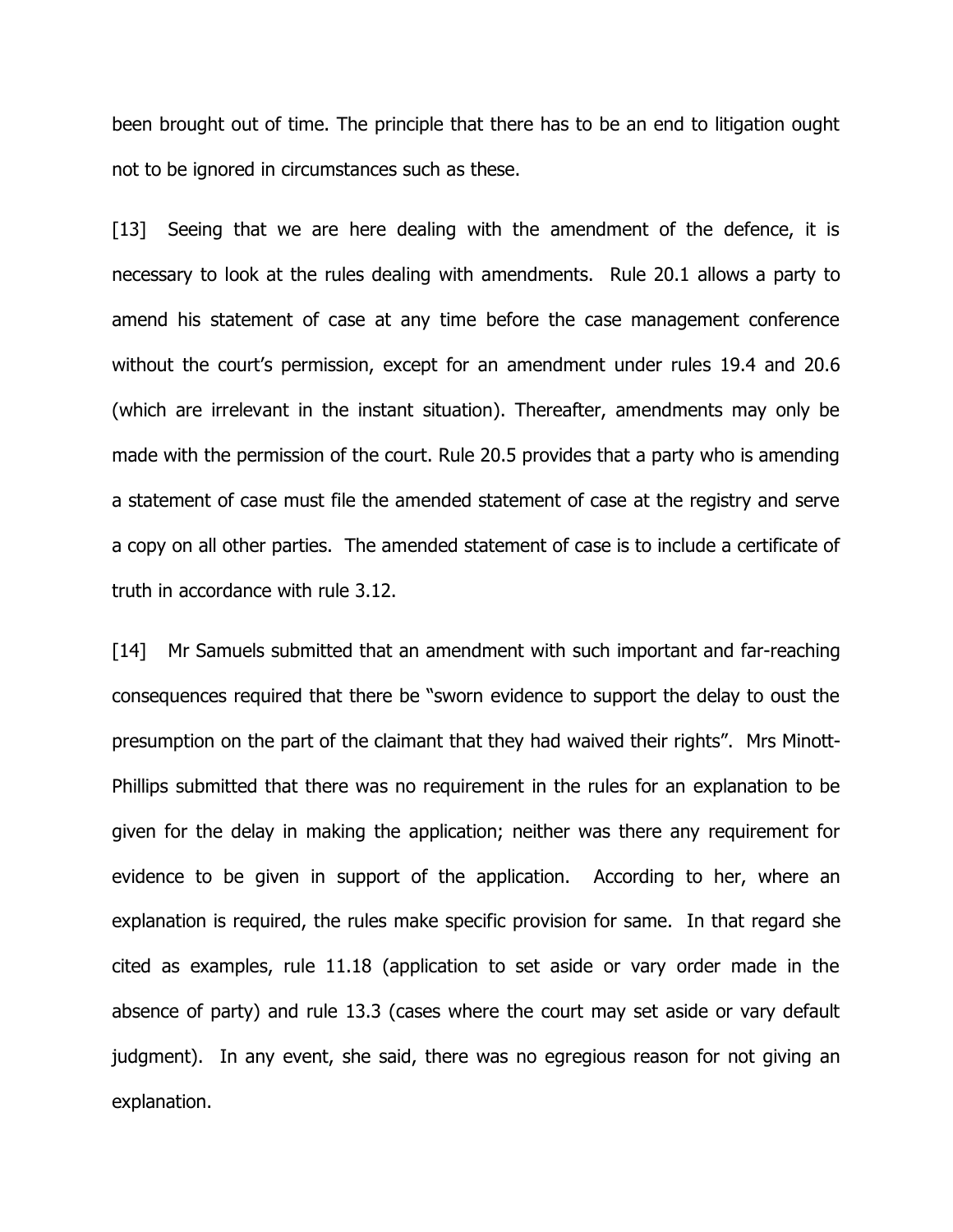been brought out of time. The principle that there has to be an end to litigation ought not to be ignored in circumstances such as these.

[13] Seeing that we are here dealing with the amendment of the defence, it is necessary to look at the rules dealing with amendments. Rule 20.1 allows a party to amend his statement of case at any time before the case management conference without the court's permission, except for an amendment under rules 19.4 and 20.6 (which are irrelevant in the instant situation). Thereafter, amendments may only be made with the permission of the court. Rule 20.5 provides that a party who is amending a statement of case must file the amended statement of case at the registry and serve a copy on all other parties. The amended statement of case is to include a certificate of truth in accordance with rule 3.12.

[14] Mr Samuels submitted that an amendment with such important and far-reaching consequences required that there be "sworn evidence to support the delay to oust the presumption on the part of the claimant that they had waived their rights". Mrs Minott-Phillips submitted that there was no requirement in the rules for an explanation to be given for the delay in making the application; neither was there any requirement for evidence to be given in support of the application. According to her, where an explanation is required, the rules make specific provision for same. In that regard she cited as examples, rule 11.18 (application to set aside or vary order made in the absence of party) and rule 13.3 (cases where the court may set aside or vary default judgment). In any event, she said, there was no egregious reason for not giving an explanation.